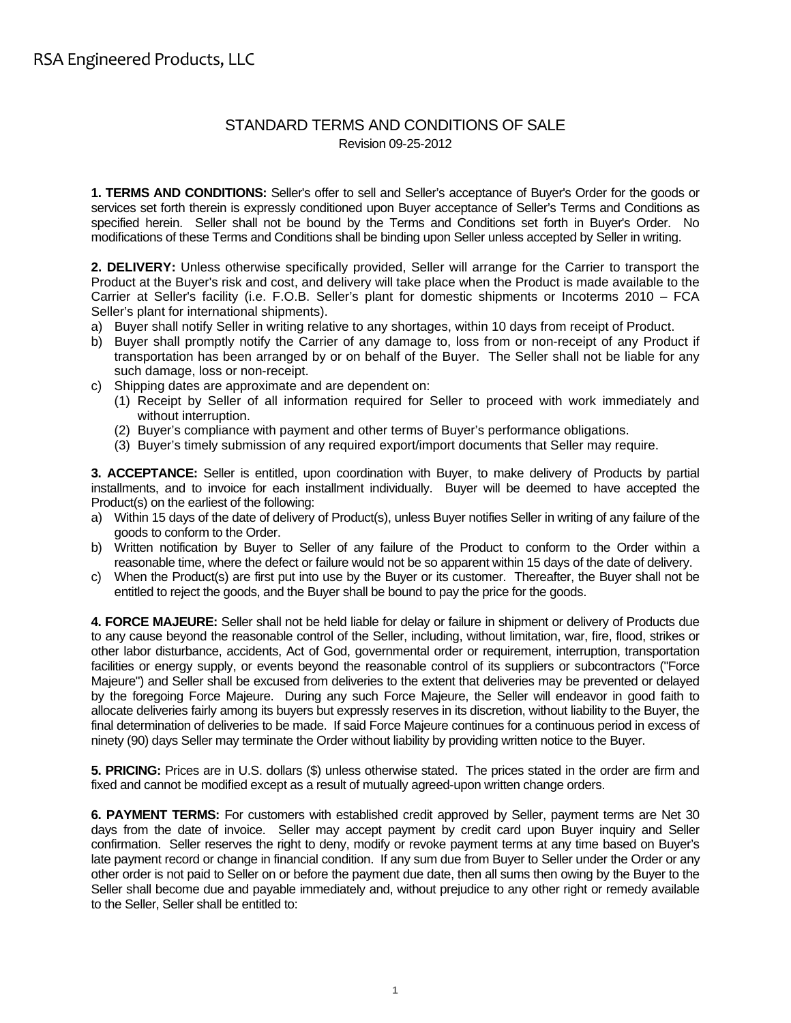## STANDARD TERMS AND CONDITIONS OF SALE Revision 09-25-2012

**1. TERMS AND CONDITIONS:** Seller's offer to sell and Seller's acceptance of Buyer's Order for the goods or services set forth therein is expressly conditioned upon Buyer acceptance of Seller's Terms and Conditions as specified herein. Seller shall not be bound by the Terms and Conditions set forth in Buyer's Order. No modifications of these Terms and Conditions shall be binding upon Seller unless accepted by Seller in writing.

**2. DELIVERY:** Unless otherwise specifically provided, Seller will arrange for the Carrier to transport the Product at the Buyer's risk and cost, and delivery will take place when the Product is made available to the Carrier at Seller's facility (i.e. F.O.B. Seller's plant for domestic shipments or Incoterms 2010 – FCA Seller's plant for international shipments).

- a) Buyer shall notify Seller in writing relative to any shortages, within 10 days from receipt of Product.
- b) Buyer shall promptly notify the Carrier of any damage to, loss from or non-receipt of any Product if transportation has been arranged by or on behalf of the Buyer. The Seller shall not be liable for any such damage, loss or non-receipt.
- c) Shipping dates are approximate and are dependent on:
	- (1) Receipt by Seller of all information required for Seller to proceed with work immediately and without interruption.
	- (2) Buyer's compliance with payment and other terms of Buyer's performance obligations.
	- (3) Buyer's timely submission of any required export/import documents that Seller may require.

**3. ACCEPTANCE:** Seller is entitled, upon coordination with Buyer, to make delivery of Products by partial installments, and to invoice for each installment individually. Buyer will be deemed to have accepted the Product(s) on the earliest of the following:

- a) Within 15 days of the date of delivery of Product(s), unless Buyer notifies Seller in writing of any failure of the goods to conform to the Order.
- b) Written notification by Buyer to Seller of any failure of the Product to conform to the Order within a reasonable time, where the defect or failure would not be so apparent within 15 days of the date of delivery.
- c) When the Product(s) are first put into use by the Buyer or its customer. Thereafter, the Buyer shall not be entitled to reject the goods, and the Buyer shall be bound to pay the price for the goods.

**4. FORCE MAJEURE:** Seller shall not be held liable for delay or failure in shipment or delivery of Products due to any cause beyond the reasonable control of the Seller, including, without limitation, war, fire, flood, strikes or other labor disturbance, accidents, Act of God, governmental order or requirement, interruption, transportation facilities or energy supply, or events beyond the reasonable control of its suppliers or subcontractors ("Force Majeure") and Seller shall be excused from deliveries to the extent that deliveries may be prevented or delayed by the foregoing Force Majeure. During any such Force Majeure, the Seller will endeavor in good faith to allocate deliveries fairly among its buyers but expressly reserves in its discretion, without liability to the Buyer, the final determination of deliveries to be made. If said Force Majeure continues for a continuous period in excess of ninety (90) days Seller may terminate the Order without liability by providing written notice to the Buyer.

**5. PRICING:** Prices are in U.S. dollars (\$) unless otherwise stated. The prices stated in the order are firm and fixed and cannot be modified except as a result of mutually agreed-upon written change orders.

**6. PAYMENT TERMS:** For customers with established credit approved by Seller, payment terms are Net 30 days from the date of invoice. Seller may accept payment by credit card upon Buyer inquiry and Seller confirmation. Seller reserves the right to deny, modify or revoke payment terms at any time based on Buyer's late payment record or change in financial condition. If any sum due from Buyer to Seller under the Order or any other order is not paid to Seller on or before the payment due date, then all sums then owing by the Buyer to the Seller shall become due and payable immediately and, without prejudice to any other right or remedy available to the Seller, Seller shall be entitled to: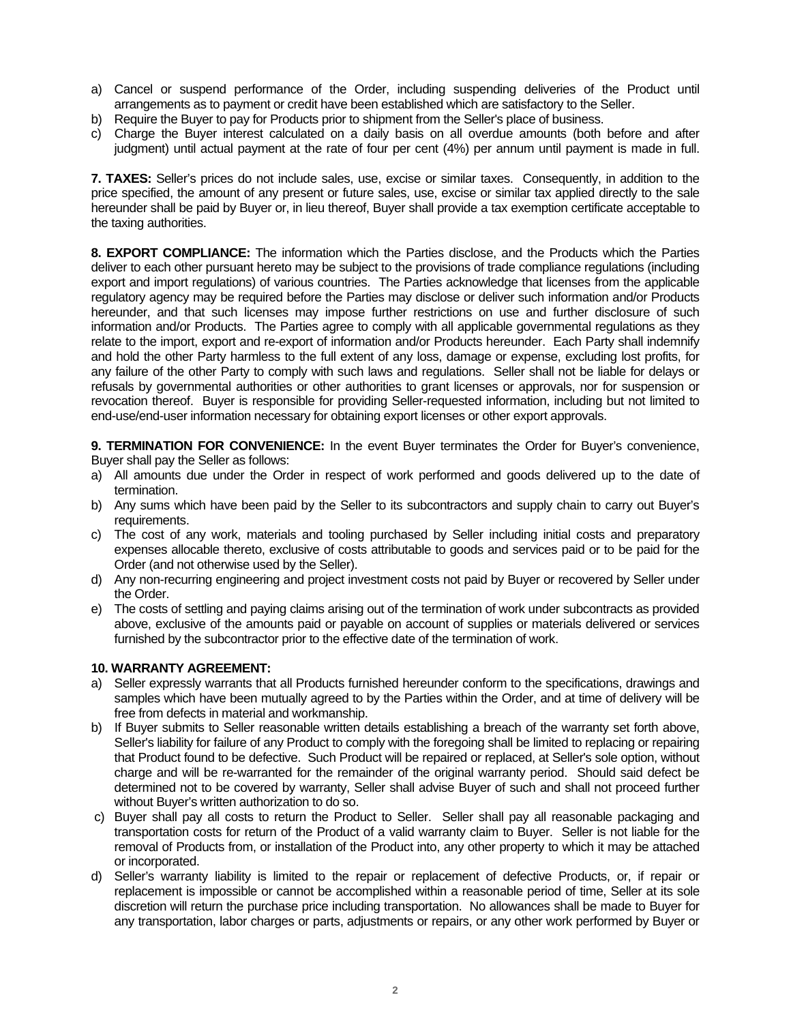- a) Cancel or suspend performance of the Order, including suspending deliveries of the Product until arrangements as to payment or credit have been established which are satisfactory to the Seller.
- b) Require the Buyer to pay for Products prior to shipment from the Seller's place of business.
- c) Charge the Buyer interest calculated on a daily basis on all overdue amounts (both before and after judgment) until actual payment at the rate of four per cent (4%) per annum until payment is made in full.

**7. TAXES:** Seller's prices do not include sales, use, excise or similar taxes. Consequently, in addition to the price specified, the amount of any present or future sales, use, excise or similar tax applied directly to the sale hereunder shall be paid by Buyer or, in lieu thereof, Buyer shall provide a tax exemption certificate acceptable to the taxing authorities.

**8. EXPORT COMPLIANCE:** The information which the Parties disclose, and the Products which the Parties deliver to each other pursuant hereto may be subject to the provisions of trade compliance regulations (including export and import regulations) of various countries. The Parties acknowledge that licenses from the applicable regulatory agency may be required before the Parties may disclose or deliver such information and/or Products hereunder, and that such licenses may impose further restrictions on use and further disclosure of such information and/or Products. The Parties agree to comply with all applicable governmental regulations as they relate to the import, export and re-export of information and/or Products hereunder. Each Party shall indemnify and hold the other Party harmless to the full extent of any loss, damage or expense, excluding lost profits, for any failure of the other Party to comply with such laws and regulations. Seller shall not be liable for delays or refusals by governmental authorities or other authorities to grant licenses or approvals, nor for suspension or revocation thereof. Buyer is responsible for providing Seller-requested information, including but not limited to end-use/end-user information necessary for obtaining export licenses or other export approvals.

**9. TERMINATION FOR CONVENIENCE:** In the event Buyer terminates the Order for Buyer's convenience, Buyer shall pay the Seller as follows:

- a) All amounts due under the Order in respect of work performed and goods delivered up to the date of termination.
- b) Any sums which have been paid by the Seller to its subcontractors and supply chain to carry out Buyer's requirements.
- c) The cost of any work, materials and tooling purchased by Seller including initial costs and preparatory expenses allocable thereto, exclusive of costs attributable to goods and services paid or to be paid for the Order (and not otherwise used by the Seller).
- d) Any non-recurring engineering and project investment costs not paid by Buyer or recovered by Seller under the Order.
- e) The costs of settling and paying claims arising out of the termination of work under subcontracts as provided above, exclusive of the amounts paid or payable on account of supplies or materials delivered or services furnished by the subcontractor prior to the effective date of the termination of work.

## **10. WARRANTY AGREEMENT:**

- a) Seller expressly warrants that all Products furnished hereunder conform to the specifications, drawings and samples which have been mutually agreed to by the Parties within the Order, and at time of delivery will be free from defects in material and workmanship.
- b) If Buyer submits to Seller reasonable written details establishing a breach of the warranty set forth above, Seller's liability for failure of any Product to comply with the foregoing shall be limited to replacing or repairing that Product found to be defective. Such Product will be repaired or replaced, at Seller's sole option, without charge and will be re-warranted for the remainder of the original warranty period. Should said defect be determined not to be covered by warranty, Seller shall advise Buyer of such and shall not proceed further without Buyer's written authorization to do so.
- c) Buyer shall pay all costs to return the Product to Seller. Seller shall pay all reasonable packaging and transportation costs for return of the Product of a valid warranty claim to Buyer. Seller is not liable for the removal of Products from, or installation of the Product into, any other property to which it may be attached or incorporated.
- d) Seller's warranty liability is limited to the repair or replacement of defective Products, or, if repair or replacement is impossible or cannot be accomplished within a reasonable period of time, Seller at its sole discretion will return the purchase price including transportation. No allowances shall be made to Buyer for any transportation, labor charges or parts, adjustments or repairs, or any other work performed by Buyer or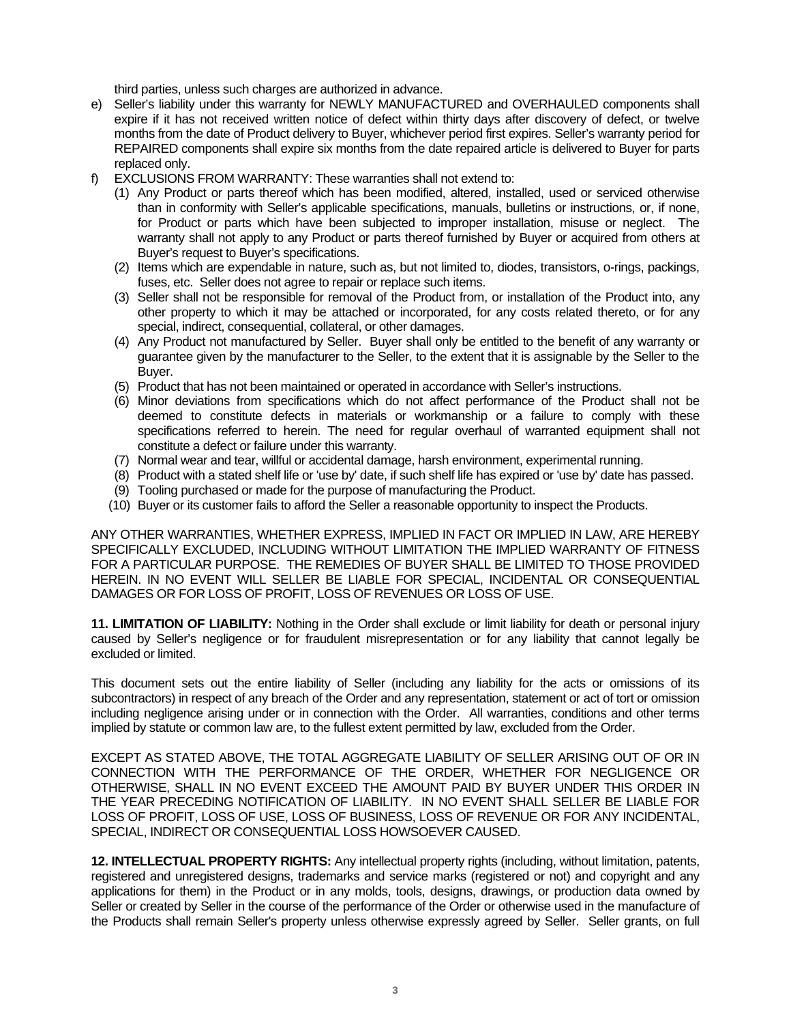third parties, unless such charges are authorized in advance.

- e) Seller's liability under this warranty for NEWLY MANUFACTURED and OVERHAULED components shall expire if it has not received written notice of defect within thirty days after discovery of defect, or twelve months from the date of Product delivery to Buyer, whichever period first expires. Seller's warranty period for REPAIRED components shall expire six months from the date repaired article is delivered to Buyer for parts replaced only.
- f) EXCLUSIONS FROM WARRANTY: These warranties shall not extend to:
	- (1) Any Product or parts thereof which has been modified, altered, installed, used or serviced otherwise than in conformity with Seller's applicable specifications, manuals, bulletins or instructions, or, if none, for Product or parts which have been subjected to improper installation, misuse or neglect. The warranty shall not apply to any Product or parts thereof furnished by Buyer or acquired from others at Buyer's request to Buyer's specifications.
	- (2) Items which are expendable in nature, such as, but not limited to, diodes, transistors, o-rings, packings, fuses, etc. Seller does not agree to repair or replace such items.
	- (3) Seller shall not be responsible for removal of the Product from, or installation of the Product into, any other property to which it may be attached or incorporated, for any costs related thereto, or for any special, indirect, consequential, collateral, or other damages.
	- (4) Any Product not manufactured by Seller. Buyer shall only be entitled to the benefit of any warranty or guarantee given by the manufacturer to the Seller, to the extent that it is assignable by the Seller to the Buyer.
	- (5) Product that has not been maintained or operated in accordance with Seller's instructions.
	- (6) Minor deviations from specifications which do not affect performance of the Product shall not be deemed to constitute defects in materials or workmanship or a failure to comply with these specifications referred to herein. The need for regular overhaul of warranted equipment shall not constitute a defect or failure under this warranty.
	- (7) Normal wear and tear, willful or accidental damage, harsh environment, experimental running.
	- (8) Product with a stated shelf life or 'use by' date, if such shelf life has expired or 'use by' date has passed.
	- (9) Tooling purchased or made for the purpose of manufacturing the Product.
	- (10) Buyer or its customer fails to afford the Seller a reasonable opportunity to inspect the Products.

ANY OTHER WARRANTIES, WHETHER EXPRESS, IMPLIED IN FACT OR IMPLIED IN LAW, ARE HEREBY SPECIFICALLY EXCLUDED, INCLUDING WITHOUT LIMITATION THE IMPLIED WARRANTY OF FITNESS FOR A PARTICULAR PURPOSE. THE REMEDIES OF BUYER SHALL BE LIMITED TO THOSE PROVIDED HEREIN. IN NO EVENT WILL SELLER BE LIABLE FOR SPECIAL, INCIDENTAL OR CONSEQUENTIAL DAMAGES OR FOR LOSS OF PROFIT, LOSS OF REVENUES OR LOSS OF USE.

**11. LIMITATION OF LIABILITY:** Nothing in the Order shall exclude or limit liability for death or personal injury caused by Seller's negligence or for fraudulent misrepresentation or for any liability that cannot legally be excluded or limited.

This document sets out the entire liability of Seller (including any liability for the acts or omissions of its subcontractors) in respect of any breach of the Order and any representation, statement or act of tort or omission including negligence arising under or in connection with the Order. All warranties, conditions and other terms implied by statute or common law are, to the fullest extent permitted by law, excluded from the Order.

EXCEPT AS STATED ABOVE, THE TOTAL AGGREGATE LIABILITY OF SELLER ARISING OUT OF OR IN CONNECTION WITH THE PERFORMANCE OF THE ORDER, WHETHER FOR NEGLIGENCE OR OTHERWISE, SHALL IN NO EVENT EXCEED THE AMOUNT PAID BY BUYER UNDER THIS ORDER IN THE YEAR PRECEDING NOTIFICATION OF LIABILITY. IN NO EVENT SHALL SELLER BE LIABLE FOR LOSS OF PROFIT, LOSS OF USE, LOSS OF BUSINESS, LOSS OF REVENUE OR FOR ANY INCIDENTAL, SPECIAL, INDIRECT OR CONSEQUENTIAL LOSS HOWSOEVER CAUSED.

**12. INTELLECTUAL PROPERTY RIGHTS:** Any intellectual property rights (including, without limitation, patents, registered and unregistered designs, trademarks and service marks (registered or not) and copyright and any applications for them) in the Product or in any molds, tools, designs, drawings, or production data owned by Seller or created by Seller in the course of the performance of the Order or otherwise used in the manufacture of the Products shall remain Seller's property unless otherwise expressly agreed by Seller. Seller grants, on full